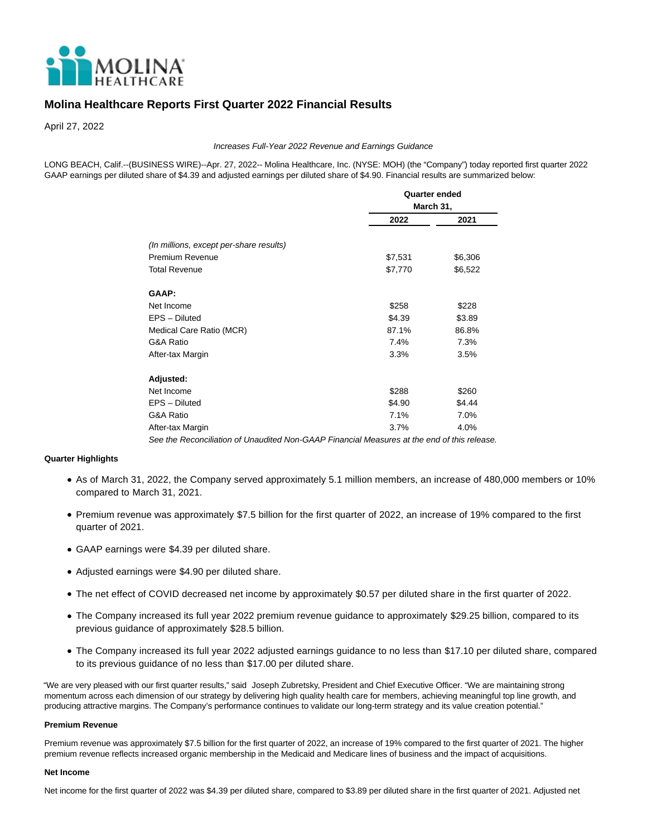

# **Molina Healthcare Reports First Quarter 2022 Financial Results**

April 27, 2022

#### Increases Full-Year 2022 Revenue and Earnings Guidance

LONG BEACH, Calif.--(BUSINESS WIRE)--Apr. 27, 2022-- Molina Healthcare, Inc. (NYSE: MOH) (the "Company") today reported first quarter 2022 GAAP earnings per diluted share of \$4.39 and adjusted earnings per diluted share of \$4.90. Financial results are summarized below:

|                                                                                            | <b>Quarter ended</b> |           |  |  |  |  |
|--------------------------------------------------------------------------------------------|----------------------|-----------|--|--|--|--|
|                                                                                            |                      | March 31, |  |  |  |  |
|                                                                                            | 2022                 | 2021      |  |  |  |  |
|                                                                                            |                      |           |  |  |  |  |
| (In millions, except per-share results)                                                    |                      |           |  |  |  |  |
| Premium Revenue                                                                            | \$7,531              | \$6,306   |  |  |  |  |
| <b>Total Revenue</b>                                                                       | \$7,770              | \$6,522   |  |  |  |  |
| <b>GAAP:</b>                                                                               |                      |           |  |  |  |  |
| Net Income                                                                                 | \$258                | \$228     |  |  |  |  |
| EPS - Diluted                                                                              | \$4.39               | \$3.89    |  |  |  |  |
| Medical Care Ratio (MCR)                                                                   | 87.1%                | 86.8%     |  |  |  |  |
| G&A Ratio                                                                                  | 7.4%                 | 7.3%      |  |  |  |  |
| After-tax Margin                                                                           | 3.3%                 | 3.5%      |  |  |  |  |
| Adjusted:                                                                                  |                      |           |  |  |  |  |
| Net Income                                                                                 | \$288                | \$260     |  |  |  |  |
| EPS - Diluted                                                                              | \$4.90               | \$4.44    |  |  |  |  |
| G&A Ratio                                                                                  | 7.1%                 | 7.0%      |  |  |  |  |
| After-tax Margin                                                                           | 3.7%                 | 4.0%      |  |  |  |  |
| See the Reconciliation of Unaudited Non-GAAP Financial Measures at the end of this release |                      |           |  |  |  |  |

# **Quarter Highlights**

- As of March 31, 2022, the Company served approximately 5.1 million members, an increase of 480,000 members or 10% compared to March 31, 2021.
- Premium revenue was approximately \$7.5 billion for the first quarter of 2022, an increase of 19% compared to the first quarter of 2021.
- GAAP earnings were \$4.39 per diluted share.
- Adjusted earnings were \$4.90 per diluted share.
- The net effect of COVID decreased net income by approximately \$0.57 per diluted share in the first quarter of 2022.
- The Company increased its full year 2022 premium revenue guidance to approximately \$29.25 billion, compared to its previous guidance of approximately \$28.5 billion.
- The Company increased its full year 2022 adjusted earnings guidance to no less than \$17.10 per diluted share, compared to its previous guidance of no less than \$17.00 per diluted share.

"We are very pleased with our first quarter results," said Joseph Zubretsky, President and Chief Executive Officer. "We are maintaining strong momentum across each dimension of our strategy by delivering high quality health care for members, achieving meaningful top line growth, and producing attractive margins. The Company's performance continues to validate our long-term strategy and its value creation potential."

#### **Premium Revenue**

Premium revenue was approximately \$7.5 billion for the first quarter of 2022, an increase of 19% compared to the first quarter of 2021. The higher premium revenue reflects increased organic membership in the Medicaid and Medicare lines of business and the impact of acquisitions.

#### **Net Income**

Net income for the first quarter of 2022 was \$4.39 per diluted share, compared to \$3.89 per diluted share in the first quarter of 2021. Adjusted net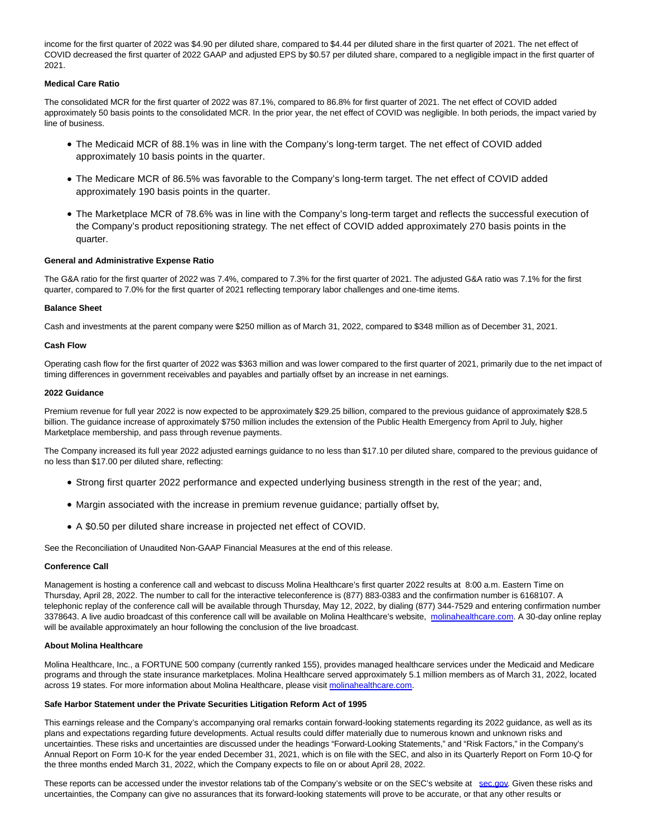income for the first quarter of 2022 was \$4.90 per diluted share, compared to \$4.44 per diluted share in the first quarter of 2021. The net effect of COVID decreased the first quarter of 2022 GAAP and adjusted EPS by \$0.57 per diluted share, compared to a negligible impact in the first quarter of 2021.

## **Medical Care Ratio**

The consolidated MCR for the first quarter of 2022 was 87.1%, compared to 86.8% for first quarter of 2021. The net effect of COVID added approximately 50 basis points to the consolidated MCR. In the prior year, the net effect of COVID was negligible. In both periods, the impact varied by line of business.

- The Medicaid MCR of 88.1% was in line with the Company's long-term target. The net effect of COVID added approximately 10 basis points in the quarter.
- The Medicare MCR of 86.5% was favorable to the Company's long-term target. The net effect of COVID added approximately 190 basis points in the quarter.
- The Marketplace MCR of 78.6% was in line with the Company's long-term target and reflects the successful execution of the Company's product repositioning strategy. The net effect of COVID added approximately 270 basis points in the quarter.

### **General and Administrative Expense Ratio**

The G&A ratio for the first quarter of 2022 was 7.4%, compared to 7.3% for the first quarter of 2021. The adjusted G&A ratio was 7.1% for the first quarter, compared to 7.0% for the first quarter of 2021 reflecting temporary labor challenges and one-time items.

### **Balance Sheet**

Cash and investments at the parent company were \$250 million as of March 31, 2022, compared to \$348 million as of December 31, 2021.

# **Cash Flow**

Operating cash flow for the first quarter of 2022 was \$363 million and was lower compared to the first quarter of 2021, primarily due to the net impact of timing differences in government receivables and payables and partially offset by an increase in net earnings.

# **2022 Guidance**

Premium revenue for full year 2022 is now expected to be approximately \$29.25 billion, compared to the previous guidance of approximately \$28.5 billion. The guidance increase of approximately \$750 million includes the extension of the Public Health Emergency from April to July, higher Marketplace membership, and pass through revenue payments.

The Company increased its full year 2022 adjusted earnings guidance to no less than \$17.10 per diluted share, compared to the previous guidance of no less than \$17.00 per diluted share, reflecting:

- Strong first quarter 2022 performance and expected underlying business strength in the rest of the year; and,
- Margin associated with the increase in premium revenue guidance; partially offset by,
- A \$0.50 per diluted share increase in projected net effect of COVID.

See the Reconciliation of Unaudited Non-GAAP Financial Measures at the end of this release.

### **Conference Call**

Management is hosting a conference call and webcast to discuss Molina Healthcare's first quarter 2022 results at 8:00 a.m. Eastern Time on Thursday, April 28, 2022. The number to call for the interactive teleconference is (877) 883-0383 and the confirmation number is 6168107. A telephonic replay of the conference call will be available through Thursday, May 12, 2022, by dialing (877) 344-7529 and entering confirmation number 3378643. A live audio broadcast of this conference call will be available on Molina Healthcare's website, [molinahealthcare.com.](https://cts.businesswire.com/ct/CT?id=smartlink&url=https%3A%2F%2Fwww.molinahealthcare.com%2F&esheet=52699381&newsitemid=20220427005789&lan=en-US&anchor=molinahealthcare.com&index=1&md5=6fc281eb0c1514b2b7b8f07ec58baa98) A 30-day online replay will be available approximately an hour following the conclusion of the live broadcast.

### **About Molina Healthcare**

Molina Healthcare, Inc., a FORTUNE 500 company (currently ranked 155), provides managed healthcare services under the Medicaid and Medicare programs and through the state insurance marketplaces. Molina Healthcare served approximately 5.1 million members as of March 31, 2022, located across 19 states. For more information about Molina Healthcare, please visit [molinahealthcare.com.](https://cts.businesswire.com/ct/CT?id=smartlink&url=https%3A%2F%2Fwww.molinahealthcare.com%2F&esheet=52699381&newsitemid=20220427005789&lan=en-US&anchor=molinahealthcare.com&index=2&md5=43638470f9772c11ad683d036fc56bdd)

## **Safe Harbor Statement under the Private Securities Litigation Reform Act of 1995**

This earnings release and the Company's accompanying oral remarks contain forward-looking statements regarding its 2022 guidance, as well as its plans and expectations regarding future developments. Actual results could differ materially due to numerous known and unknown risks and uncertainties. These risks and uncertainties are discussed under the headings "Forward-Looking Statements," and "Risk Factors," in the Company's Annual Report on Form 10-K for the year ended December 31, 2021, which is on file with the SEC, and also in its Quarterly Report on Form 10-Q for the three months ended March 31, 2022, which the Company expects to file on or about April 28, 2022.

These reports can be accessed under the investor relations tab of the Company's website or on the SEC's website at [sec.gov.](https://cts.businesswire.com/ct/CT?id=smartlink&url=https%3A%2F%2Fwww.sec.gov%2F&esheet=52699381&newsitemid=20220427005789&lan=en-US&anchor=sec.gov&index=3&md5=67606377134c596699e6781e82acdfbf) Given these risks and uncertainties, the Company can give no assurances that its forward-looking statements will prove to be accurate, or that any other results or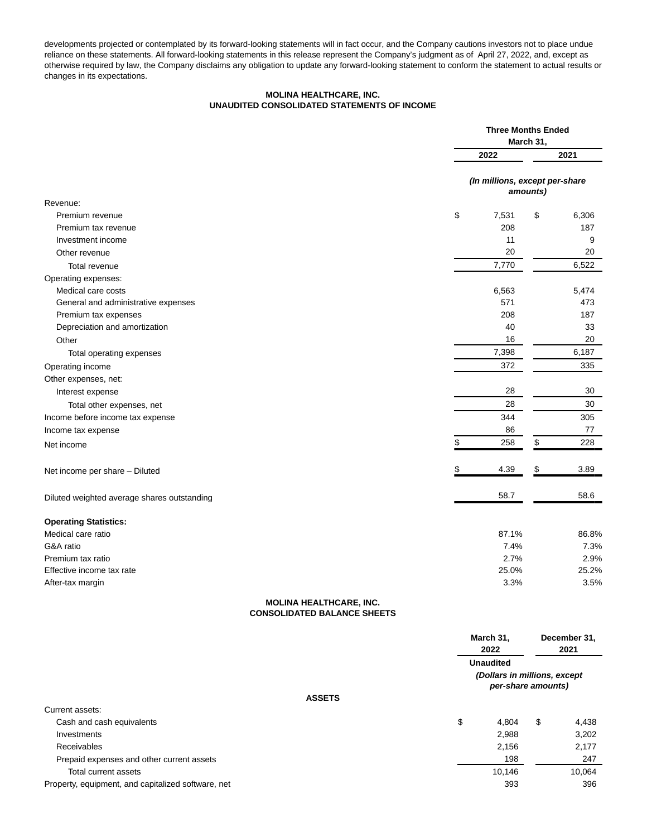developments projected or contemplated by its forward-looking statements will in fact occur, and the Company cautions investors not to place undue reliance on these statements. All forward-looking statements in this release represent the Company's judgment as of April 27, 2022, and, except as otherwise required by law, the Company disclaims any obligation to update any forward-looking statement to conform the statement to actual results or changes in its expectations.

## **MOLINA HEALTHCARE, INC. UNAUDITED CONSOLIDATED STATEMENTS OF INCOME**

|                                                                      | <b>Three Months Ended</b><br>March 31, |                                            |  |  |
|----------------------------------------------------------------------|----------------------------------------|--------------------------------------------|--|--|
|                                                                      | 2022                                   | 2021                                       |  |  |
|                                                                      |                                        | (In millions, except per-share<br>amounts) |  |  |
| Revenue:                                                             |                                        |                                            |  |  |
| Premium revenue                                                      | \$<br>7,531                            | \$<br>6,306                                |  |  |
| Premium tax revenue                                                  | 208                                    | 187                                        |  |  |
| Investment income                                                    | 11                                     | 9                                          |  |  |
| Other revenue                                                        | 20                                     | 20                                         |  |  |
| Total revenue                                                        | 7,770                                  | 6,522                                      |  |  |
| Operating expenses:                                                  |                                        |                                            |  |  |
| Medical care costs                                                   | 6,563                                  | 5,474                                      |  |  |
| General and administrative expenses                                  | 571                                    | 473                                        |  |  |
| Premium tax expenses                                                 | 208                                    | 187                                        |  |  |
| Depreciation and amortization                                        | 40                                     | 33                                         |  |  |
| Other                                                                | 16                                     | 20                                         |  |  |
| Total operating expenses                                             | 7,398                                  | 6,187                                      |  |  |
| Operating income                                                     | 372                                    | 335                                        |  |  |
| Other expenses, net:                                                 |                                        |                                            |  |  |
| Interest expense                                                     | 28                                     | 30                                         |  |  |
| Total other expenses, net                                            | 28                                     | 30                                         |  |  |
| Income before income tax expense                                     | 344                                    | 305                                        |  |  |
| Income tax expense                                                   | 86                                     | 77                                         |  |  |
| Net income                                                           | \$<br>258                              | \$<br>228                                  |  |  |
| Net income per share - Diluted                                       | 4.39                                   | 3.89<br>\$                                 |  |  |
| Diluted weighted average shares outstanding                          | 58.7                                   | 58.6                                       |  |  |
| <b>Operating Statistics:</b>                                         |                                        |                                            |  |  |
| Medical care ratio                                                   | 87.1%                                  | 86.8%                                      |  |  |
| G&A ratio                                                            | 7.4%                                   | 7.3%                                       |  |  |
| Premium tax ratio                                                    | 2.7%                                   | 2.9%                                       |  |  |
| Effective income tax rate                                            | 25.0%                                  | 25.2%                                      |  |  |
| After-tax margin                                                     | 3.3%                                   | 3.5%                                       |  |  |
| <b>MOLINA HEALTHCARE, INC.</b><br><b>CONSOLIDATED BALANCE SHEETS</b> |                                        |                                            |  |  |
|                                                                      | March 31,                              | December 31,                               |  |  |
|                                                                      | 2022                                   | 2021                                       |  |  |
|                                                                      | <b>Unaudited</b>                       |                                            |  |  |

**(Dollars in millions, except per-share amounts)**

# **ASSETS**

| Current assets:                                    |             |             |
|----------------------------------------------------|-------------|-------------|
| Cash and cash equivalents                          | \$<br>4.804 | \$<br>4.438 |
| Investments                                        | 2.988       | 3.202       |
| Receivables                                        | 2.156       | 2,177       |
| Prepaid expenses and other current assets          | 198         | 247         |
| Total current assets                               | 10.146      | 10.064      |
| Property, equipment, and capitalized software, net | 393         | 396         |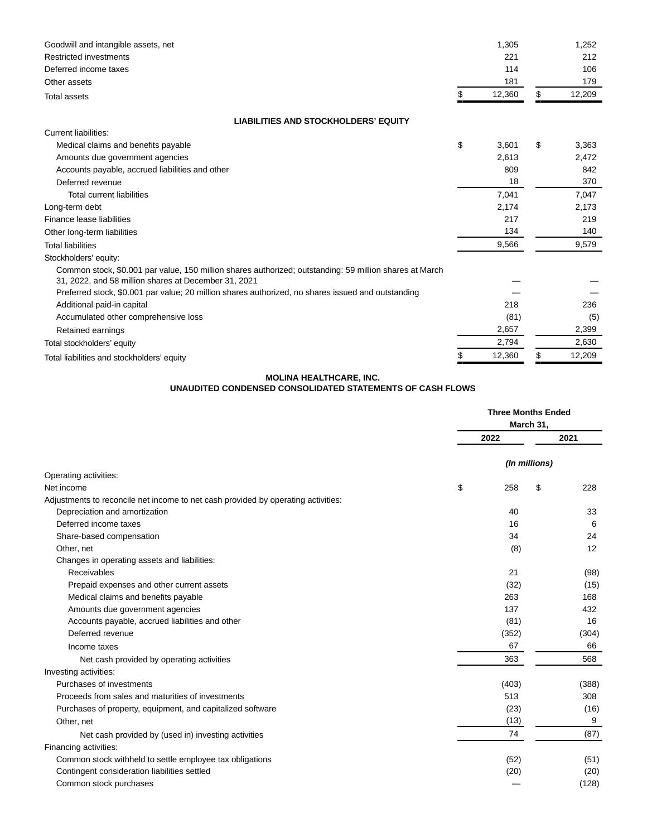| Goodwill and intangible assets, net                                                                                                                             | 1,305        | 1,252        |
|-----------------------------------------------------------------------------------------------------------------------------------------------------------------|--------------|--------------|
| Restricted investments                                                                                                                                          | 221          | 212          |
| Deferred income taxes                                                                                                                                           | 114          | 106          |
| Other assets                                                                                                                                                    | 181          | 179          |
| <b>Total assets</b>                                                                                                                                             | \$<br>12,360 | \$<br>12,209 |
| <b>LIABILITIES AND STOCKHOLDERS' EQUITY</b>                                                                                                                     |              |              |
| Current liabilities:                                                                                                                                            |              |              |
| Medical claims and benefits payable                                                                                                                             | \$<br>3,601  | \$<br>3,363  |
| Amounts due government agencies                                                                                                                                 | 2,613        | 2,472        |
| Accounts payable, accrued liabilities and other                                                                                                                 | 809          | 842          |
| Deferred revenue                                                                                                                                                | 18           | 370          |
| Total current liabilities                                                                                                                                       | 7.041        | 7,047        |
| Long-term debt                                                                                                                                                  | 2,174        | 2,173        |
| Finance lease liabilities                                                                                                                                       | 217          | 219          |
| Other long-term liabilities                                                                                                                                     | 134          | 140          |
| <b>Total liabilities</b>                                                                                                                                        | 9,566        | 9,579        |
| Stockholders' equity:                                                                                                                                           |              |              |
| Common stock, \$0.001 par value, 150 million shares authorized; outstanding: 59 million shares at March<br>31, 2022, and 58 million shares at December 31, 2021 |              |              |
| Preferred stock, \$0.001 par value; 20 million shares authorized, no shares issued and outstanding                                                              |              |              |
| Additional paid-in capital                                                                                                                                      | 218          | 236          |
| Accumulated other comprehensive loss                                                                                                                            | (81)         | (5)          |
| Retained earnings                                                                                                                                               | 2,657        | 2,399        |
| Total stockholders' equity                                                                                                                                      | 2,794        | 2,630        |
| Total liabilities and stockholders' equity                                                                                                                      | 12,360       | \$<br>12,209 |

# **MOLINA HEALTHCARE, INC.**

# **UNAUDITED CONDENSED CONSOLIDATED STATEMENTS OF CASH FLOWS**

|                                                                                   | <b>Three Months Ended</b><br>March 31, |               |  |  |
|-----------------------------------------------------------------------------------|----------------------------------------|---------------|--|--|
|                                                                                   | 2022                                   | 2021          |  |  |
|                                                                                   |                                        | (In millions) |  |  |
| Operating activities:                                                             |                                        |               |  |  |
| \$<br>Net income                                                                  | 258                                    | \$<br>228     |  |  |
| Adjustments to reconcile net income to net cash provided by operating activities: |                                        |               |  |  |
| Depreciation and amortization                                                     | 40                                     | 33            |  |  |
| Deferred income taxes                                                             | 16                                     | 6             |  |  |
| Share-based compensation                                                          | 34                                     | 24            |  |  |
| Other, net                                                                        | (8)                                    | 12            |  |  |
| Changes in operating assets and liabilities:                                      |                                        |               |  |  |
| Receivables                                                                       | 21                                     | (98)          |  |  |
| Prepaid expenses and other current assets                                         | (32)                                   | (15)          |  |  |
| Medical claims and benefits payable                                               | 263                                    | 168           |  |  |
| Amounts due government agencies                                                   | 137                                    | 432           |  |  |
| Accounts payable, accrued liabilities and other                                   | (81)                                   | 16            |  |  |
| Deferred revenue                                                                  | (352)                                  | (304)         |  |  |
| Income taxes                                                                      | 67                                     | 66            |  |  |
| Net cash provided by operating activities                                         | 363                                    | 568           |  |  |
| Investing activities:                                                             |                                        |               |  |  |
| Purchases of investments                                                          | (403)                                  | (388)         |  |  |
| Proceeds from sales and maturities of investments                                 | 513                                    | 308           |  |  |
| Purchases of property, equipment, and capitalized software                        | (23)                                   | (16)          |  |  |
| Other, net                                                                        | (13)                                   | 9             |  |  |
| Net cash provided by (used in) investing activities                               | 74                                     | (87)          |  |  |
| Financing activities:                                                             |                                        |               |  |  |
| Common stock withheld to settle employee tax obligations                          | (52)                                   | (51)          |  |  |
| Contingent consideration liabilities settled                                      | (20)                                   | (20)          |  |  |
| Common stock purchases                                                            |                                        | (128)         |  |  |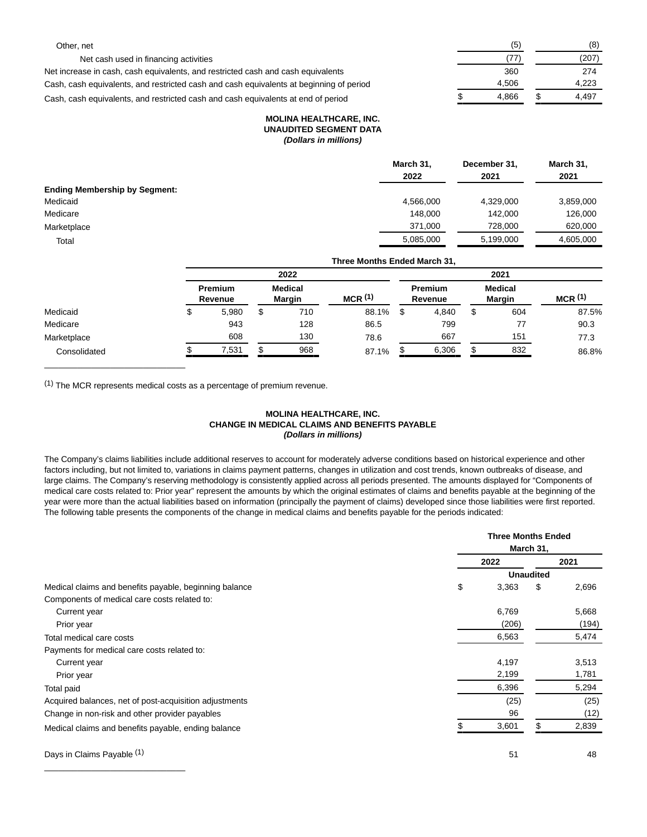| Other. net                                                                              | (5    | (8)   |
|-----------------------------------------------------------------------------------------|-------|-------|
| Net cash used in financing activities                                                   | (77   | (207) |
| Net increase in cash, cash equivalents, and restricted cash and cash equivalents        | 360   | 274   |
| Cash, cash equivalents, and restricted cash and cash equivalents at beginning of period | 4.506 | 4.223 |
| Cash, cash equivalents, and restricted cash and cash equivalents at end of period       | 4.866 | 4.497 |

#### **MOLINA HEALTHCARE, INC. UNAUDITED SEGMENT DATA (Dollars in millions)**

|                                      | March 31, | December 31. | March 31, |
|--------------------------------------|-----------|--------------|-----------|
|                                      | 2022      | 2021         | 2021      |
| <b>Ending Membership by Segment:</b> |           |              |           |
| Medicaid                             | 4,566,000 | 4,329,000    | 3,859,000 |
| Medicare                             | 148.000   | 142.000      | 126,000   |
| Marketplace                          | 371,000   | 728,000      | 620,000   |
| Total                                | 5,085,000 | 5.199.000    | 4,605,000 |

|              | Three Months Ended March 31. |  |                                 |                    |  |                           |    |                          |                    |
|--------------|------------------------------|--|---------------------------------|--------------------|--|---------------------------|----|--------------------------|--------------------|
|              | 2022                         |  |                                 |                    |  |                           |    | 2021                     |                    |
|              | <b>Premium</b><br>Revenue    |  | <b>Medical</b><br><b>Margin</b> | MCR <sup>(1)</sup> |  | <b>Premium</b><br>Revenue |    | Medical<br><b>Margin</b> | MCR <sup>(1)</sup> |
| Medicaid     | 5,980                        |  | 710                             | 88.1%              |  | 4,840                     | \$ | 604                      | 87.5%              |
| Medicare     | 943                          |  | 128                             | 86.5               |  | 799                       |    | 77                       | 90.3               |
| Marketplace  | 608                          |  | 130                             | 78.6               |  | 667                       |    | 151                      | 77.3               |
| Consolidated | 7,531                        |  | 968                             | 87.1%              |  | 6,306                     |    | 832                      | 86.8%              |

(1) The MCR represents medical costs as a percentage of premium revenue.

\_\_\_\_\_\_\_\_\_\_\_\_\_\_\_\_\_\_\_\_\_\_\_\_\_\_\_\_\_\_

\_\_\_\_\_\_\_\_\_\_\_\_\_\_\_\_\_\_\_\_\_\_\_\_\_\_\_\_\_\_

# **MOLINA HEALTHCARE, INC. CHANGE IN MEDICAL CLAIMS AND BENEFITS PAYABLE (Dollars in millions)**

The Company's claims liabilities include additional reserves to account for moderately adverse conditions based on historical experience and other factors including, but not limited to, variations in claims payment patterns, changes in utilization and cost trends, known outbreaks of disease, and large claims. The Company's reserving methodology is consistently applied across all periods presented. The amounts displayed for "Components of medical care costs related to: Prior year" represent the amounts by which the original estimates of claims and benefits payable at the beginning of the year were more than the actual liabilities based on information (principally the payment of claims) developed since those liabilities were first reported. The following table presents the components of the change in medical claims and benefits payable for the periods indicated:

|                                                        | <b>Three Months Ended</b> |                  |       |  |  |
|--------------------------------------------------------|---------------------------|------------------|-------|--|--|
|                                                        |                           | March 31,        |       |  |  |
|                                                        | 2022                      |                  | 2021  |  |  |
|                                                        |                           | <b>Unaudited</b> |       |  |  |
| Medical claims and benefits payable, beginning balance | \$<br>3,363               | \$               | 2,696 |  |  |
| Components of medical care costs related to:           |                           |                  |       |  |  |
| Current year                                           | 6,769                     |                  | 5,668 |  |  |
| Prior year                                             | (206)                     |                  | (194) |  |  |
| Total medical care costs                               | 6,563                     |                  | 5,474 |  |  |
| Payments for medical care costs related to:            |                           |                  |       |  |  |
| Current year                                           | 4,197                     |                  | 3,513 |  |  |
| Prior year                                             | 2,199                     |                  | 1,781 |  |  |
| Total paid                                             | 6,396                     |                  | 5,294 |  |  |
| Acquired balances, net of post-acquisition adjustments | (25)                      |                  | (25)  |  |  |
| Change in non-risk and other provider payables         | 96                        |                  | (12)  |  |  |
| Medical claims and benefits payable, ending balance    | 3,601                     | \$               | 2,839 |  |  |
| Days in Claims Payable (1)                             | 51                        |                  | 48    |  |  |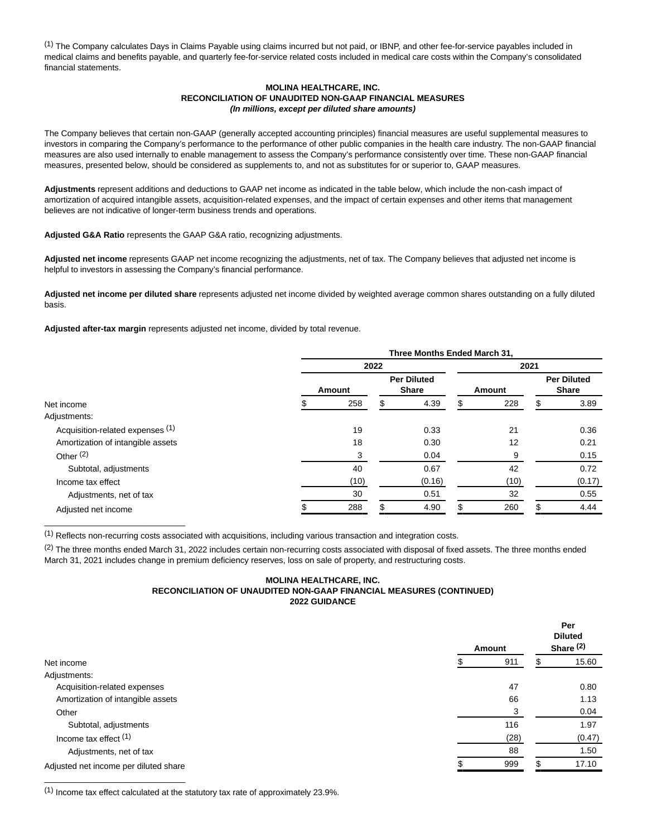(1) The Company calculates Days in Claims Payable using claims incurred but not paid, or IBNP, and other fee-for-service payables included in medical claims and benefits payable, and quarterly fee-for-service related costs included in medical care costs within the Company's consolidated financial statements.

#### **MOLINA HEALTHCARE, INC. RECONCILIATION OF UNAUDITED NON-GAAP FINANCIAL MEASURES (In millions, except per diluted share amounts)**

The Company believes that certain non-GAAP (generally accepted accounting principles) financial measures are useful supplemental measures to investors in comparing the Company's performance to the performance of other public companies in the health care industry. The non-GAAP financial measures are also used internally to enable management to assess the Company's performance consistently over time. These non-GAAP financial measures, presented below, should be considered as supplements to, and not as substitutes for or superior to, GAAP measures.

**Adjustments** represent additions and deductions to GAAP net income as indicated in the table below, which include the non-cash impact of amortization of acquired intangible assets, acquisition-related expenses, and the impact of certain expenses and other items that management believes are not indicative of longer-term business trends and operations.

**Adjusted G&A Ratio** represents the GAAP G&A ratio, recognizing adjustments.

**Adjusted net income** represents GAAP net income recognizing the adjustments, net of tax. The Company believes that adjusted net income is helpful to investors in assessing the Company's financial performance.

**Adjusted net income per diluted share** represents adjusted net income divided by weighted average common shares outstanding on a fully diluted basis.

**Adjusted after-tax margin** represents adjusted net income, divided by total revenue.

|                                   |        |      | Three Months Ended March 31,       |           |      |                                    |
|-----------------------------------|--------|------|------------------------------------|-----------|------|------------------------------------|
|                                   |        | 2022 |                                    |           | 2021 |                                    |
|                                   | Amount |      | <b>Per Diluted</b><br><b>Share</b> | Amount    |      | <b>Per Diluted</b><br><b>Share</b> |
| Net income                        | 258    | S    | 4.39                               | 228       | S    | 3.89                               |
| Adjustments:                      |        |      |                                    |           |      |                                    |
| Acquisition-related expenses (1)  | 19     |      | 0.33                               | 21        |      | 0.36                               |
| Amortization of intangible assets | 18     |      | 0.30                               | 12        |      | 0.21                               |
| Other $(2)$                       | 3      |      | 0.04                               | 9         |      | 0.15                               |
| Subtotal, adjustments             | 40     |      | 0.67                               | 42        |      | 0.72                               |
| Income tax effect                 | (10)   |      | (0.16)                             | (10)      |      | (0.17)                             |
| Adjustments, net of tax           | 30     |      | 0.51                               | 32        |      | 0.55                               |
| Adjusted net income               | 288    |      | 4.90                               | \$<br>260 | \$   | 4.44                               |
|                                   |        |      |                                    |           |      |                                    |

(1) Reflects non-recurring costs associated with acquisitions, including various transaction and integration costs.

<sup>(2)</sup> The three months ended March 31, 2022 includes certain non-recurring costs associated with disposal of fixed assets. The three months ended March 31, 2021 includes change in premium deficiency reserves, loss on sale of property, and restructuring costs.

#### **MOLINA HEALTHCARE, INC. RECONCILIATION OF UNAUDITED NON-GAAP FINANCIAL MEASURES (CONTINUED) 2022 GUIDANCE**

|                                       | Amount |    | Per<br><b>Diluted</b><br>Share $(2)$ |
|---------------------------------------|--------|----|--------------------------------------|
| Net income                            | 911    |    | 15.60                                |
| Adjustments:                          |        |    |                                      |
| Acquisition-related expenses          | 47     |    | 0.80                                 |
| Amortization of intangible assets     | 66     |    | 1.13                                 |
| Other                                 | з      |    | 0.04                                 |
| Subtotal, adjustments                 | 116    |    | 1.97                                 |
| Income tax effect $(1)$               | (28)   |    | (0.47)                               |
| Adjustments, net of tax               | 88     |    | 1.50                                 |
| Adjusted net income per diluted share | 999    | £. | 17.10                                |

(1) Income tax effect calculated at the statutory tax rate of approximately 23.9%.

\_\_\_\_\_\_\_\_\_\_\_\_\_\_\_\_\_\_\_\_\_\_\_\_\_\_\_\_\_\_